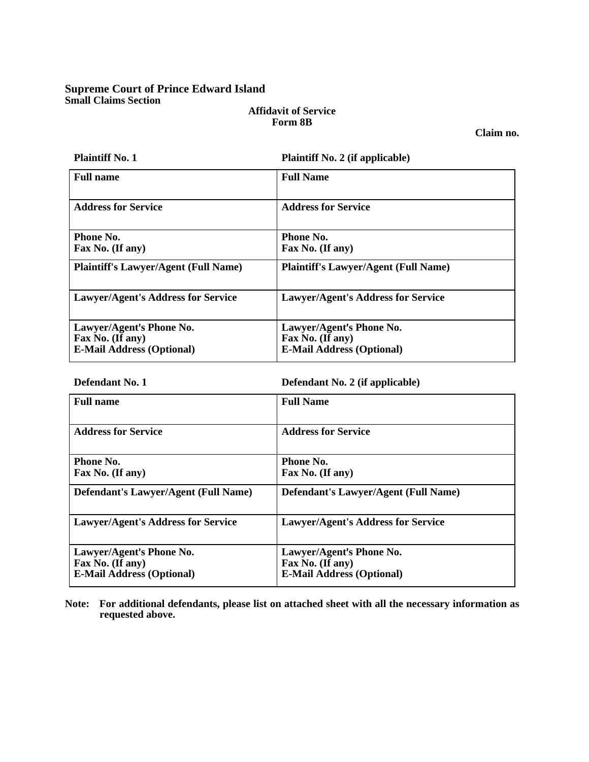# **Supreme Court of Prince Edward Island Small Claims Section**

## **Affidavit of Service Form 8B**

**Claim no.** 

| <b>Plaintiff No. 1</b>                      | <b>Plaintiff No. 2 (if applicable)</b>      |
|---------------------------------------------|---------------------------------------------|
| <b>Full name</b>                            | <b>Full Name</b>                            |
| <b>Address for Service</b>                  | <b>Address for Service</b>                  |
| Phone No.                                   | Phone No.                                   |
| Fax No. (If any)                            | Fax No. (If any)                            |
| <b>Plaintiff's Lawyer/Agent (Full Name)</b> | <b>Plaintiff's Lawyer/Agent (Full Name)</b> |
| <b>Lawyer/Agent's Address for Service</b>   | <b>Lawyer/Agent's Address for Service</b>   |
| Lawyer/Agent's Phone No.                    | Lawyer/Agent's Phone No.                    |
| Fax No. (If any)                            | Fax No. (If any)                            |
| <b>E-Mail Address (Optional)</b>            | <b>E-Mail Address (Optional)</b>            |

**Defendant No. 1 Defendant No. 2 (if applicable)** 

| <b>Full name</b>                                                                 | <b>Full Name</b>                                                                 |
|----------------------------------------------------------------------------------|----------------------------------------------------------------------------------|
| <b>Address for Service</b>                                                       | <b>Address for Service</b>                                                       |
| Phone No.<br>Fax No. (If any)                                                    | <b>Phone No.</b><br>Fax No. (If any)                                             |
| <b>Defendant's Lawyer/Agent (Full Name)</b>                                      | <b>Defendant's Lawyer/Agent (Full Name)</b>                                      |
| <b>Lawyer/Agent's Address for Service</b>                                        | <b>Lawyer/Agent's Address for Service</b>                                        |
| Lawyer/Agent's Phone No.<br>Fax No. (If any)<br><b>E-Mail Address (Optional)</b> | Lawyer/Agent's Phone No.<br>Fax No. (If any)<br><b>E-Mail Address (Optional)</b> |

**Note: For additional defendants, please list on attached sheet with all the necessary information as requested above.**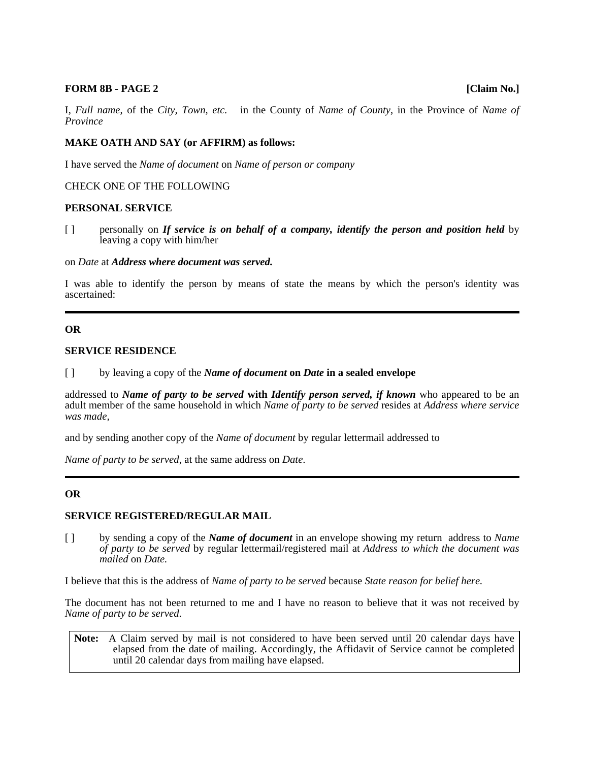#### **FORM 8B - PAGE 2** [Claim No.]

I, *Full name*, of the *City, Town, etc.* in the County of *Name of County*, in the Province of *Name of Province*

## **MAKE OATH AND SAY (or AFFIRM) as follows:**

I have served the *Name of document* on *Name of person or company*

### CHECK ONE OF THE FOLLOWING

#### **PERSONAL SERVICE**

[ ] personally on *If service is on behalf of a company, identify the person and position held* by leaving a copy with him/her

#### on *Date* at *Address where document was served.*

I was able to identify the person by means of state the means by which the person's identity was ascertained:

### **OR**

### **SERVICE RESIDENCE**

[ ] by leaving a copy of the *Name of document* **on** *Date* **in a sealed envelope** 

addressed to *Name of party to be served* **with** *Identify person served, if known* who appeared to be an adult member of the same household in which *Name of party to be served* resides at *Address where service was made,*

and by sending another copy of the *Name of document* by regular lettermail addressed to

*Name of party to be served*, at the same address on *Date*.

## **OR**

## **SERVICE REGISTERED/REGULAR MAIL**

[ ] by sending a copy of the *Name of document* in an envelope showing my return address to *Name of party to be served* by regular lettermail/registered mail at *Address to which the document was mailed* on *Date.*

I believe that this is the address of *Name of party to be served* because *State reason for belief here.*

The document has not been returned to me and I have no reason to believe that it was not received by *Name of party to be served.*

**Note:** A Claim served by mail is not considered to have been served until 20 calendar days have elapsed from the date of mailing. Accordingly, the Affidavit of Service cannot be completed until 20 calendar days from mailing have elapsed.